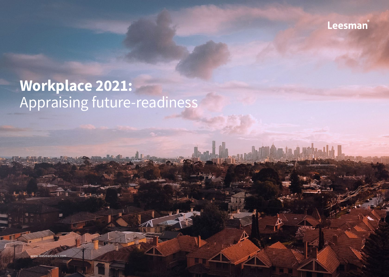

# **Workplace 2021:** Appraising future-readiness

w leesmanindex.com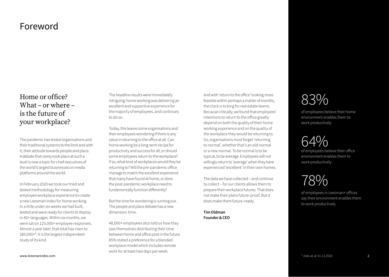### Foreword

### Home or office? What – or where – is the future of your workplace?

The pandemic has tested organisations and their traditional systems to the limit and with it, their attitude towards people and place. A debate that rarely took place at such a level is now a topic for chief executives of the world's largest businesses on media platforms around the world.

In February 2020 we took our tried and tested methodology for measuring employee workplace experience to create a new Leesman Index for home working. In a little under six weeks we had built, tested and were ready for clients to deploy in 40+ languages. Within six months, we were sat on 125,000+ employee responses. Almost a year later, that total has risen to 160,000+\*. It is the largest independent study of its kind.

The headline results were immediately intriguing: home working was delivering an excellent and supportive experience for the majority of employees, and continues to do so.

Today, this leaves some organisations and their employees wondering if there is any value in returning to the office at all. Can home working be a long-term recipe for productivity and success for all, or should some employees return to the workplace? If so, what kind of workplaces would they be returning to? Will the pre-pandemic office manage to match the excellent experience that many have found at home, or does the post-pandemic workplace need to fundamentally function differently?

But the time for wondering is running out. The people and place debate has a new dimension: time.

48,000+ employees also told us how they saw themselves distributing their time between home and office post in the future. 85% stated a preference for a blended workplace model which includes remote work for at least two days per week.

And with 'return to the office' looking more feasible within perhaps a matter of months, the clock is ticking for real estate teams. Because critically, we found that employees' intentions to return to the office greatly depend on both the quality of their home working experience and on the quality of the workplace they would be returning to. So, organisations must forget 'returning to normal', whether that's an old normal or a new normal. To be normal is to be typical, to be average. Employees will not willingly return to 'average' when they have experienced 'excellent' in their own homes.

The data we have collected – and continue to collect – for our clients allows them to prepare their workplace futures. That does not make their plans future-proof. But it does make them future-ready.

**Tim Oldman Founder & CEO**

# 83%

of employees believe their home environment enables them to work productively

64% of employees believe their office

environment enables them to work productively

# 78%

of employees in Leesman+ offices say their environment enables them to work productively

www.leesmanindex.com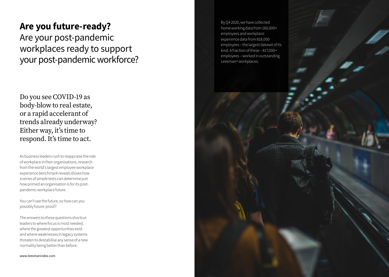## **Are you future-ready?**  Are your post-pandemic workplaces ready to support your post-pandemic workforce?

Do you see COVID-19 as body-blow to real estate, or a rapid accelerant of trends already underway? Either way, it's time to respond. It's time to act.

As business leaders rush to reappraise the role of workplace in their organisations, research from the world's largest employee workplace experience benchmark reveals shows how a series of simple tests can determine just how primed an organisation is for its postpandemic workplace future.

You can't see the future, so how can you possibly future-proof?

The answers to these questions shortcut leaders to where focus is most needed, where the greatest opportunities exist and where weaknesses in legacy systems threaten to destabilise any sense of a new normality being better than before.

www.leesmanindex.com

By Q4 2020, we have collected home working data from 160,000+ employees and workplace experience data from 818,000 employees – the largest dataset of its kind. A fraction of these – 817,000+ employees – worked in outstanding Leesman+ workplaces.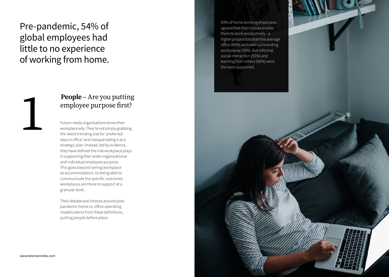# Pre-pandemic, 54% of global employees had little to no experience of working from home.

### **People** – Are you putting employee purpose first?

Future-ready organisations know their workplace *why*. They're not simply grabbing the latest trending stat for 'preferred days in office' and masquerading it as a strategic plan. Instead, led by evidence, they have defined the role workplace plays in supporting their wider organisational and individual employee purpose. This goes beyond seeing workplace as accommodation, to being able to communicate the specific outcomes workplaces are there to support at a granular level.

Their debate and choices around postpandemic home vs. office operating models stems from these definitions, putting people before place.

83% of home working employees agreed that their homes enable them to work productively - a higher proportion than the average office (64%) and even outstanding workplaces (78%). But Informal social interaction (55%) and learning from others (66%) were the least supported.

8

www.leesmanindex.com

1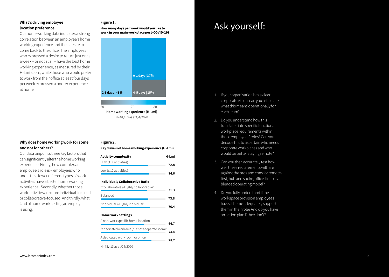#### **What's driving employee location preference**

Our home working data indicates a strong correlation between an employee's home working experience and their desire to come back to the office. The employees who expressed a desire to return just once a week – or not at all – have the best home working experience, as measured by their H-Lmi score, while those who would prefer to work from their office at least four days per week expressed a poorer experience at home.

#### **Why does home working work for some and not for others?**

Our data pinpoints three key factors that can significantly alter the home working experience. Firstly, how complex an employee's role is – employees who undertake fewer different types of work activities have a better home working experience. Secondly, whether those work activities are more individual-focused or collaborative-focused. And thirdly, what kind of home work setting an employee is using.

#### **Figure 1.**

**How many days per week would you like to work in your main workplace post-COVID-19?**



N=48,413 as at Q4/2020

#### **Figure 2.**

**Key drivers of home working experience (H-Lmi)**

| H-Lmi |
|-------|
| 72 R  |
| 74.6  |
|       |

#### **Individual / Collaborative Ratio**

| "Collaborative & Highly collaborative" | 71.3 |
|----------------------------------------|------|
| <b>Balanced</b>                        | 73.8 |
| "Individual & Highly individual"       | 76 A |
|                                        |      |

#### **Home work settings**

| A non-work specific home location                 | 66.7 |
|---------------------------------------------------|------|
| "A dedicated work area (but not a separate room)" | 74.4 |
| A dedicated work room or office                   | 78.7 |
| N=48.413 as at O4/2020                            |      |

# Ask yourself:

- 1. If your organisation has a clear corporate vision, can you articulate what this means operationally for each team?
- 2. Do you understand how this translates into specific functional workplace requirements within those employees' roles? Can you decode this to ascertain who needs corporate workplaces and who would be better staying remote?
- 3. Can you then accurately test how well these requirements will fare against the pros and cons for remotefirst, hub and spoke, office-first, or a blended operating model?
- 4. Do you fully understand if the workspace provision employees have at home adequately supports them in their role? And do you have an action plan if they don't?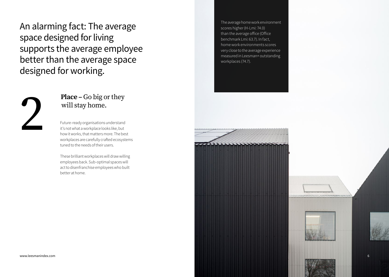An alarming fact: The average space designed for living supports the average employee better than the average space designed for working.



### **Place –** Go big or they will stay home.

Future-ready organisations understand it's not what a workplace looks like, but how it works, that matters more. The best workplaces are carefully crafted ecosystems tuned to the needs of their users.

These brilliant workplaces will draw willing employees back. Sub-optimal spaces will act to disenfranchise employees who built better at home.

The average home work environment scores higher (H-Lmi: 74.0) than the average office (Office benchmark Lmi: 63.7). In fact, home work environments scores very close to the average experience measured in Leesman+ outstanding workplaces (74.7).

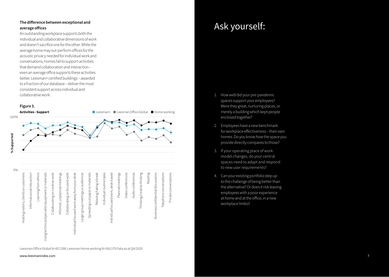#### **The difference between exceptional and average offices**

An outstanding workplace supports both the individual and collaborative dimensions of work and doesn't sacrifice one for the other. While the average home may out-perform offices for the acoustic privacy needed for individual work and conversations, homes fail to support activities that demand collaboration and interaction – even an average office supports these activities better. Leesman+ certified buildings – awarded to a fraction of our database – deliver the most consistent support across individual and collaborative work.



Leesman Office Global N=817,598, Leesman Home working N=160,579 Data as at Q4/2020

#### www.leesmanindex.com www.leesmanindex.com

## Ask yourself:

- 1. How well did your pre-pandemic spaces support your employees? Were they great, nurturing places, or merely a building which kept people enclosed together?
- 2. Employees have a new benchmark for workplace effectiveness – their own homes. Do you know how the space you provide directly compares to those?
- 3. If your operating place of work model changes, do your central spaces need to adapt and respond to new user requirements?
- 4. Can your existing portfolio step up to the challenge of being better than the alternative? Or does it risk leaving employees with a poor experience at home and at the office, in a new workplace limbo?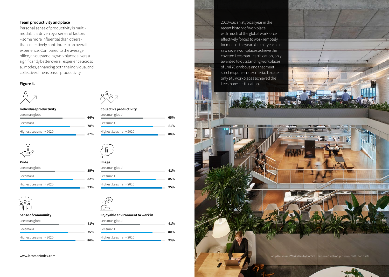#### **Team productivity and place**

Personal sense of productivity is multimodal. It is driven by a series of factors – some more influential than others that collectively contribute to an overall experience. Compared to the average office, an outstanding workplace delivers a significantly better overall experience across all modes, enhancing both the individual and collective dimensions of productivity.

#### **Figure 4.**



#### **Individual productivity**

| Leesman global       |  |
|----------------------|--|
|                      |  |
| l eesman+            |  |
| Highest Leesman+2020 |  |



| Pride                |  |
|----------------------|--|
| Leesman global       |  |
| l eesman+            |  |
| Highest Leesman+2020 |  |



#### **Sense of community**

| Leesman global       | 61% |
|----------------------|-----|
| l eesman+            | 75% |
| Highest Leesman+2020 | 86% |



**66% 78% 87%**

**55% 82% 93%**

#### **Collective productivity**

| Leesman global       | 65% |
|----------------------|-----|
| l eesman+            | 81% |
| Highest Leesman+2020 | 88% |



| Leesman global       | 61% |
|----------------------|-----|
| Leesman+             | 85% |
| Highest Leesman+2020 |     |
|                      | 95% |



#### **Enjoyable environment to work in** Leesman global

| Leesman+             | 80% |
|----------------------|-----|
| Highest Leesman+2020 |     |
|                      | 93% |

**61%**

2020 was an atypical year in the recent history of workplace, with much of the global workforce effectively forced to work remotely for most of the year. Yet, this year also saw seven workplaces achieve the coveted Leesman+ certification, only awarded to outstanding workplaces of Lmi 70 or above and that meet strict response rate criteria. To date, only 140 workplaces achieved the Leesman+ certification.

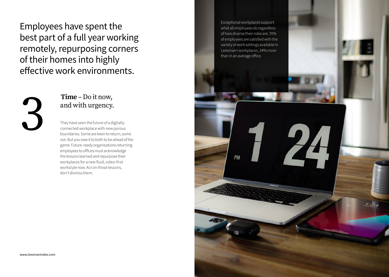Employees have spent the best part of a full year working remotely, repurposing corners of their homes into highly effective work environments.



### **Time** – Do it now, and with urgency.

They have seen the future of a digitallyconnected workplace with new porous boundaries. Some are keen to return, some not. But you owe it to both to be ahead of the game. Future-ready organisations returning employees to offices must acknowledge the lessons learned and repurpose their workplaces for a new fluid, video-first workstyle now. Act on those lessons, don't dismiss them.

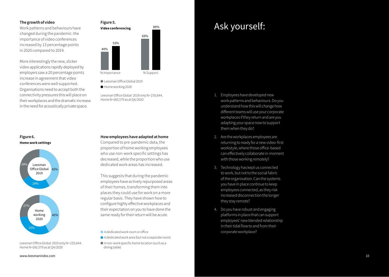#### **The growth of video**

Work patterns and behaviours have changed during the pandemic: the importance of video conferences increased by 13 percentage points in 2020 compared to 2019.

More interestingly the new, slicker video applications rapidly deployed by employers saw a 20 percentage points increase in agreement that video conferences were well supported. Organisations need to accept both the connectivity pressures this will place on their workplaces and the dramatic increase in the need for acoustically private space.



Leesman Office Global 2019  $\bullet$  Home working 2020

Leesman Office Global 2019 only N= 235,644. Home N=160,579 as at Q4/2020

### **How employees have adapted at home**

Compared to pre-pandemic data, the proportion of home working employees who use non-work specific settings has decreased, while the proportion who use dedicated work areas has increased.

This suggests that during the pandemic employees have actively repurposed areas of their homes, transforming them into places they could use for work on a more regular basis. They have shown how to configure highly effective workplaces and their expectation on you to have done the same ready for their return will be acute.

- A dedicated work room or office
- A dedicated work area (but not a separate room)
- A non-work specific home location (such as a dining table)

## Ask yourself:

- 1. Employees have developed new work patterns and behaviours. Do you understand how this will change how different teams will use your corporate workplaces if they return and are you adapting your space now to support them when they do?
- 2. Are the workplaces employees are returning to ready for a new video-first workstyle, where those office-based can effectively collaborate in-moment with those working remotely?
- 3. Technology has kept us connected to work, but not to the social fabric of the organisation. Can the systems you have in place continue to keep employees connected, as they risk increased disconnection the longer they stay remote?
- 4. Do you have robust and engaging platforms in place that can support employees' new blended relationship in their tidal flow to and from their corporate workplace?

#### **Figure 6. Home work settings**



Leesman Office Global 2019 only N= 235,644. Home N=160,579 as at Q4/2020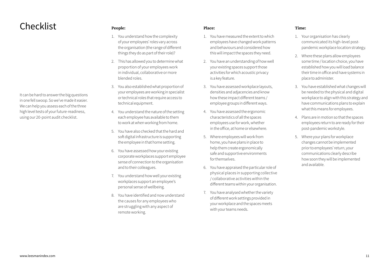## Checklist

It can be hard to answer the big questions in one fell swoop. So we've made it easier. We can help you assess each of the three high level tests of your future-readiness, using our 20-point audit checklist.

#### **People:**

- 1. You understand how the complexity of your employees' roles vary across the organisation (the range of different things they do as part of their role)?
- 2. This has allowed you to determine what proportion of your employees work in individual, collaborative or more blended roles.
- 3. You also established what proportion of your employees are working in specialist or technical roles that require access to technical equipment.
- 4. You understand the nature of the setting each employee has available to them to work at when working from home.
- 5. You have also checked that the hard and soft digital infrastructure is supporting the employee in that home setting.
- 6. You have assessed how your existing corporate workplaces support employee sense of connection to the organisation and to their colleagues.
- 7. You understand how well your existing workplaces support an employee's personal sense of wellbeing.
- 8. You have identified and now understand the causes for any employees who are struggling with any aspect of remote working.

#### **Place:**

- 1. You have measured the extent to which employees have changed work patterns and behaviours and considered how this will impact the spaces they need.
- 2. You have an understanding of how well your existing spaces support those activities for which acoustic privacy is a key feature.
- 3. You have assessed workplace layouts, densities and adjacencies and know how these impact different teams / employee groups in different ways.
- 4. You have assessed the ergonomic characteristics of all the spaces employees use for work, whether in the office, at home or elsewhere.
- 5. Where employees will work from home, you have plans in place to help them create ergonomically safe and supportive environments for themselves.
- 6. You have appraised the particular role of physical places in supporting collective / collaborative activities within the different teams within your organisation.
- 7. You have analysed whether the variety of different work settings provided in your workplace and the spaces meets with your teams needs.

#### **Time:**

- 1. Your organisation has clearly communicated its high-level postpandemic workplace location strategy.
- 2. Where these plans allow employees some time / location choice, you have established how you will load balance their time in office and have systems in place to administer.
- 3. You have established what changes will be needed to the physical and digital workplace to align with this strategy and have communications plans to explain what this means for employees.
- 4. Plans are in motion so that the spaces employees return to are ready for their post-pandemic workstyle.
- 5. Where your plans for workplace changes cannot be implemented prior to employees' return, your communications clearly describe how soon they will be implemented and available.